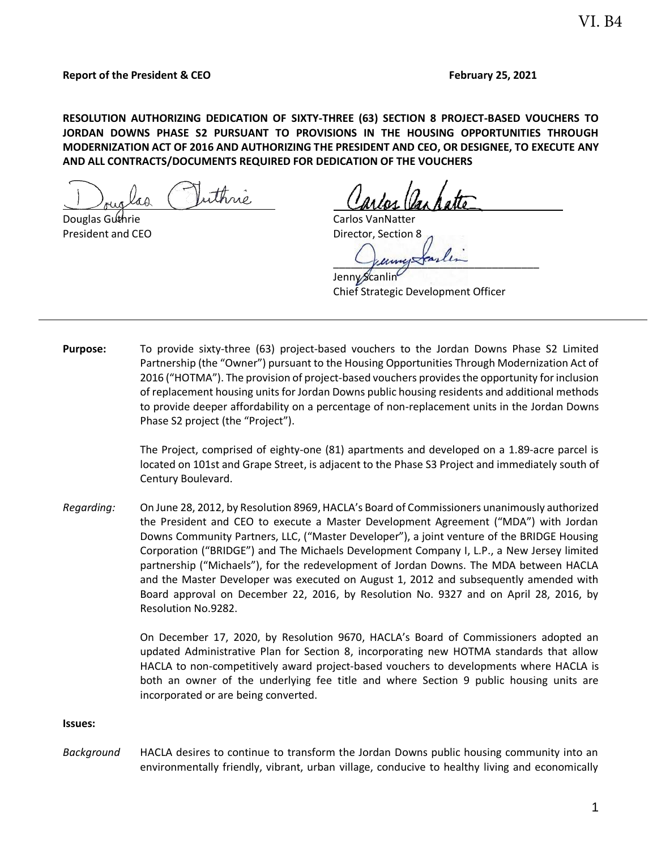### **Report of the President & CEO February** 25, 2021

**RESOLUTION AUTHORIZING DEDICATION OF SIXTY-THREE (63) SECTION 8 PROJECT-BASED VOUCHERS TO JORDAN DOWNS PHASE S2 PURSUANT TO PROVISIONS IN THE HOUSING OPPORTUNITIES THROUGH MODERNIZATION ACT OF 2016 AND AUTHORIZING THE PRESIDENT AND CEO, OR DESIGNEE, TO EXECUTE ANY AND ALL CONTRACTS/DOCUMENTS REQUIRED FOR DEDICATION OF THE VOUCHERS** 

uthné άA

Douglas Guthrie Carlos VanNatter

President and CEO Director, Section 8

 $Y$ uny $X$ ranin

Jenn $\sqrt{\mathcal{S}}$ Chief Strategic Development Officer

**Purpose:** To provide sixty-three (63) project-based vouchers to the Jordan Downs Phase S2 Limited Partnership (the "Owner") pursuant to the Housing Opportunities Through Modernization Act of 2016 ("HOTMA"). The provision of project-based vouchers provides the opportunity for inclusion of replacement housing units for Jordan Downs public housing residents and additional methods to provide deeper affordability on a percentage of non-replacement units in the Jordan Downs Phase S2 project (the "Project").

> The Project, comprised of eighty-one (81) apartments and developed on a 1.89-acre parcel is located on 101st and Grape Street, is adjacent to the Phase S3 Project and immediately south of Century Boulevard.

*Regarding:* On June 28, 2012, by Resolution 8969, HACLA's Board of Commissioners unanimously authorized the President and CEO to execute a Master Development Agreement ("MDA") with Jordan Downs Community Partners, LLC, ("Master Developer"), a joint venture of the BRIDGE Housing Corporation ("BRIDGE") and The Michaels Development Company I, L.P., a New Jersey limited partnership ("Michaels"), for the redevelopment of Jordan Downs. The MDA between HACLA and the Master Developer was executed on August 1, 2012 and subsequently amended with Board approval on December 22, 2016, by Resolution No. 9327 and on April 28, 2016, by Resolution No.9282.

> On December 17, 2020, by Resolution 9670, HACLA's Board of Commissioners adopted an updated Administrative Plan for Section 8, incorporating new HOTMA standards that allow HACLA to non-competitively award project-based vouchers to developments where HACLA is both an owner of the underlying fee title and where Section 9 public housing units are incorporated or are being converted.

#### **Issues:**

*Background* HACLA desires to continue to transform the Jordan Downs public housing community into an environmentally friendly, vibrant, urban village, conducive to healthy living and economically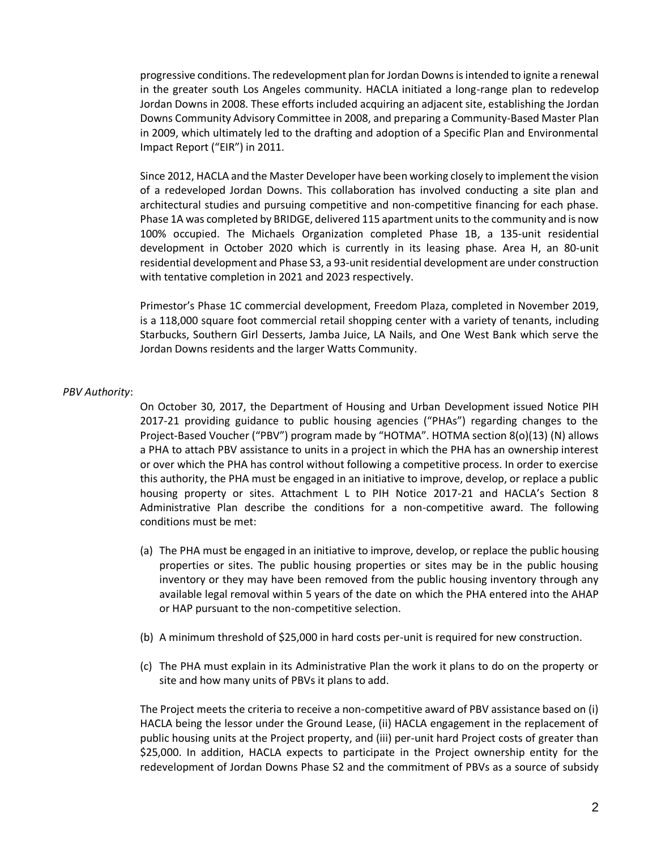progressive conditions. The redevelopment plan for Jordan Downs is intended to ignite a renewal in the greater south Los Angeles community. HACLA initiated a long-range plan to redevelop Jordan Downs in 2008. These efforts included acquiring an adjacent site, establishing the Jordan Downs Community Advisory Committee in 2008, and preparing a Community-Based Master Plan in 2009, which ultimately led to the drafting and adoption of a Specific Plan and Environmental Impact Report ("EIR") in 2011.

Since 2012, HACLA and the Master Developer have been working closely to implement the vision of a redeveloped Jordan Downs. This collaboration has involved conducting a site plan and architectural studies and pursuing competitive and non-competitive financing for each phase. Phase 1A was completed by BRIDGE, delivered 115 apartment units to the community and is now 100% occupied. The Michaels Organization completed Phase 1B, a 135-unit residential development in October 2020 which is currently in its leasing phase. Area H, an 80-unit residential development and Phase S3, a 93-unit residential development are under construction with tentative completion in 2021 and 2023 respectively.

Primestor's Phase 1C commercial development, Freedom Plaza, completed in November 2019, is a 118,000 square foot commercial retail shopping center with a variety of tenants, including Starbucks, Southern Girl Desserts, Jamba Juice, LA Nails, and One West Bank which serve the Jordan Downs residents and the larger Watts Community.

### *PBV Authority*:

On October 30, 2017, the Department of Housing and Urban Development issued Notice PIH 2017-21 providing guidance to public housing agencies ("PHAs") regarding changes to the Project-Based Voucher ("PBV") program made by "HOTMA". HOTMA section 8(o)(13) (N) allows a PHA to attach PBV assistance to units in a project in which the PHA has an ownership interest or over which the PHA has control without following a competitive process. In order to exercise this authority, the PHA must be engaged in an initiative to improve, develop, or replace a public housing property or sites. Attachment L to PIH Notice 2017-21 and HACLA's Section 8 Administrative Plan describe the conditions for a non-competitive award. The following conditions must be met:

- (a) The PHA must be engaged in an initiative to improve, develop, or replace the public housing properties or sites. The public housing properties or sites may be in the public housing inventory or they may have been removed from the public housing inventory through any available legal removal within 5 years of the date on which the PHA entered into the AHAP or HAP pursuant to the non-competitive selection.
- (b) A minimum threshold of \$25,000 in hard costs per-unit is required for new construction.
- (c) The PHA must explain in its Administrative Plan the work it plans to do on the property or site and how many units of PBVs it plans to add.

The Project meets the criteria to receive a non-competitive award of PBV assistance based on (i) HACLA being the lessor under the Ground Lease, (ii) HACLA engagement in the replacement of public housing units at the Project property, and (iii) per-unit hard Project costs of greater than \$25,000. In addition, HACLA expects to participate in the Project ownership entity for the redevelopment of Jordan Downs Phase S2 and the commitment of PBVs as a source of subsidy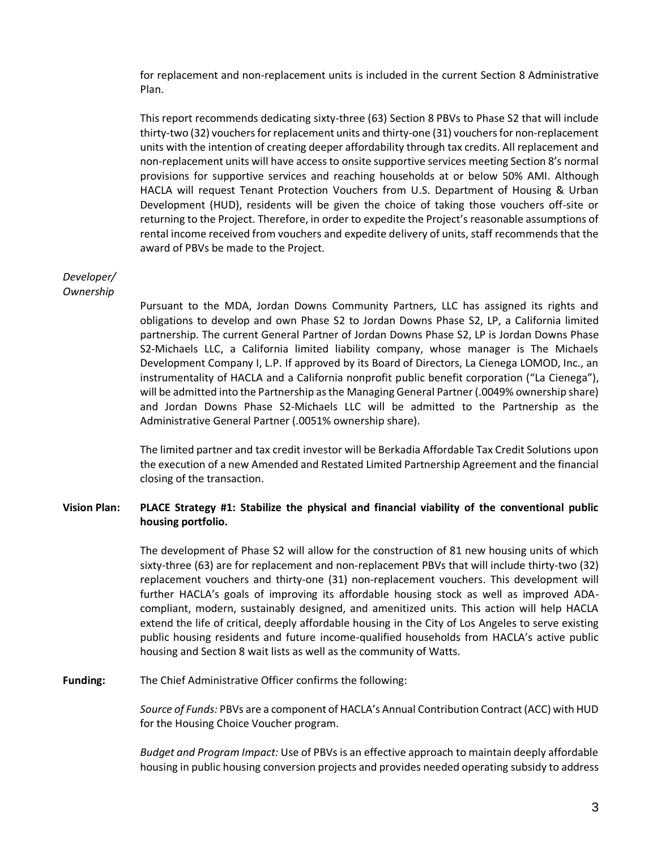for replacement and non-replacement units is included in the current Section 8 Administrative Plan.

This report recommends dedicating sixty-three (63) Section 8 PBVs to Phase S2 that will include thirty-two (32) vouchersfor replacement units and thirty-one (31) vouchers for non-replacement units with the intention of creating deeper affordability through tax credits. All replacement and non-replacement units will have access to onsite supportive services meeting Section 8's normal provisions for supportive services and reaching households at or below 50% AMI. Although HACLA will request Tenant Protection Vouchers from U.S. Department of Housing & Urban Development (HUD), residents will be given the choice of taking those vouchers off-site or returning to the Project. Therefore, in order to expedite the Project's reasonable assumptions of rental income received from vouchers and expedite delivery of units, staff recommends that the award of PBVs be made to the Project.

# *Developer/ Ownership*

Pursuant to the MDA, Jordan Downs Community Partners, LLC has assigned its rights and obligations to develop and own Phase S2 to Jordan Downs Phase S2, LP, a California limited partnership. The current General Partner of Jordan Downs Phase S2, LP is Jordan Downs Phase S2-Michaels LLC, a California limited liability company, whose manager is The Michaels Development Company I, L.P. If approved by its Board of Directors, La Cienega LOMOD, Inc., an instrumentality of HACLA and a California nonprofit public benefit corporation ("La Cienega"), will be admitted into the Partnership as the Managing General Partner (.0049% ownership share) and Jordan Downs Phase S2-Michaels LLC will be admitted to the Partnership as the Administrative General Partner (.0051% ownership share).

The limited partner and tax credit investor will be Berkadia Affordable Tax Credit Solutions upon the execution of a new Amended and Restated Limited Partnership Agreement and the financial closing of the transaction.

## **Vision Plan: PLACE Strategy #1: Stabilize the physical and financial viability of the conventional public housing portfolio.**

The development of Phase S2 will allow for the construction of 81 new housing units of which sixty-three (63) are for replacement and non-replacement PBVs that will include thirty-two (32) replacement vouchers and thirty-one (31) non-replacement vouchers. This development will further HACLA's goals of improving its affordable housing stock as well as improved ADAcompliant, modern, sustainably designed, and amenitized units. This action will help HACLA extend the life of critical, deeply affordable housing in the City of Los Angeles to serve existing public housing residents and future income-qualified households from HACLA's active public housing and Section 8 wait lists as well as the community of Watts.

**Funding:** The Chief Administrative Officer confirms the following:

*Source of Funds:* PBVs are a component of HACLA's Annual Contribution Contract (ACC) with HUD for the Housing Choice Voucher program.

*Budget and Program Impact:* Use of PBVs is an effective approach to maintain deeply affordable housing in public housing conversion projects and provides needed operating subsidy to address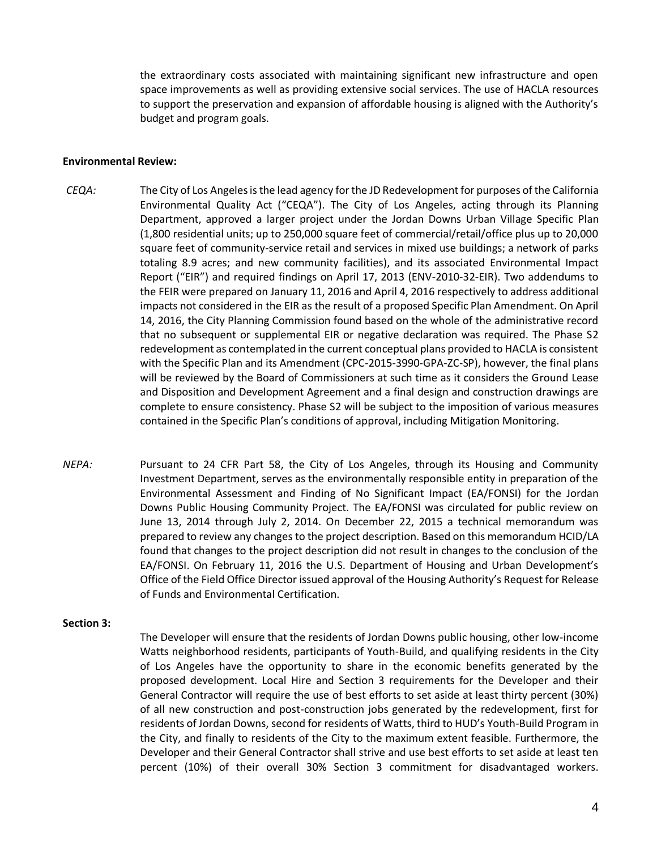the extraordinary costs associated with maintaining significant new infrastructure and open space improvements as well as providing extensive social services. The use of HACLA resources to support the preservation and expansion of affordable housing is aligned with the Authority's budget and program goals.

#### **Environmental Review:**

- *CEQA:* The City of Los Angeles is the lead agency for the JD Redevelopment for purposes of the California Environmental Quality Act ("CEQA"). The City of Los Angeles, acting through its Planning Department, approved a larger project under the Jordan Downs Urban Village Specific Plan (1,800 residential units; up to 250,000 square feet of commercial/retail/office plus up to 20,000 square feet of community-service retail and services in mixed use buildings; a network of parks totaling 8.9 acres; and new community facilities), and its associated Environmental Impact Report ("EIR") and required findings on April 17, 2013 (ENV-2010-32-EIR). Two addendums to the FEIR were prepared on January 11, 2016 and April 4, 2016 respectively to address additional impacts not considered in the EIR as the result of a proposed Specific Plan Amendment. On April 14, 2016, the City Planning Commission found based on the whole of the administrative record that no subsequent or supplemental EIR or negative declaration was required. The Phase S2 redevelopment as contemplated in the current conceptual plans provided to HACLA is consistent with the Specific Plan and its Amendment (CPC-2015-3990-GPA-ZC-SP), however, the final plans will be reviewed by the Board of Commissioners at such time as it considers the Ground Lease and Disposition and Development Agreement and a final design and construction drawings are complete to ensure consistency. Phase S2 will be subject to the imposition of various measures contained in the Specific Plan's conditions of approval, including Mitigation Monitoring.
- *NEPA:* Pursuant to 24 CFR Part 58, the City of Los Angeles, through its Housing and Community Investment Department, serves as the environmentally responsible entity in preparation of the Environmental Assessment and Finding of No Significant Impact (EA/FONSI) for the Jordan Downs Public Housing Community Project. The EA/FONSI was circulated for public review on June 13, 2014 through July 2, 2014. On December 22, 2015 a technical memorandum was prepared to review any changes to the project description. Based on this memorandum HCID/LA found that changes to the project description did not result in changes to the conclusion of the EA/FONSI. On February 11, 2016 the U.S. Department of Housing and Urban Development's Office of the Field Office Director issued approval of the Housing Authority's Request for Release of Funds and Environmental Certification.

#### **Section 3:**

The Developer will ensure that the residents of Jordan Downs public housing, other low-income Watts neighborhood residents, participants of Youth-Build, and qualifying residents in the City of Los Angeles have the opportunity to share in the economic benefits generated by the proposed development. Local Hire and Section 3 requirements for the Developer and their General Contractor will require the use of best efforts to set aside at least thirty percent (30%) of all new construction and post-construction jobs generated by the redevelopment, first for residents of Jordan Downs, second for residents of Watts, third to HUD's Youth-Build Program in the City, and finally to residents of the City to the maximum extent feasible. Furthermore, the Developer and their General Contractor shall strive and use best efforts to set aside at least ten percent (10%) of their overall 30% Section 3 commitment for disadvantaged workers.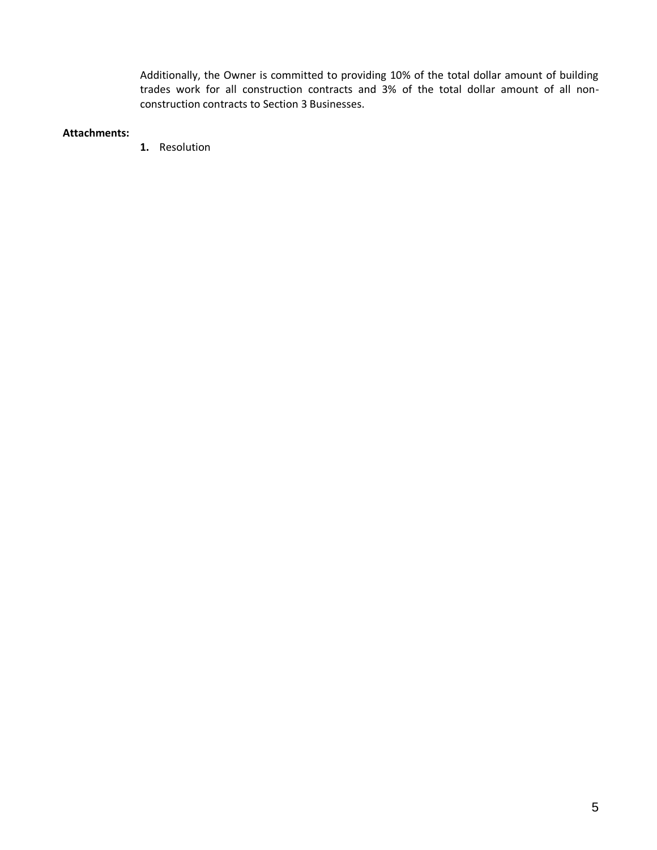Additionally, the Owner is committed to providing 10% of the total dollar amount of building trades work for all construction contracts and 3% of the total dollar amount of all nonconstruction contracts to Section 3 Businesses.

## **Attachments:**

**1.** Resolution